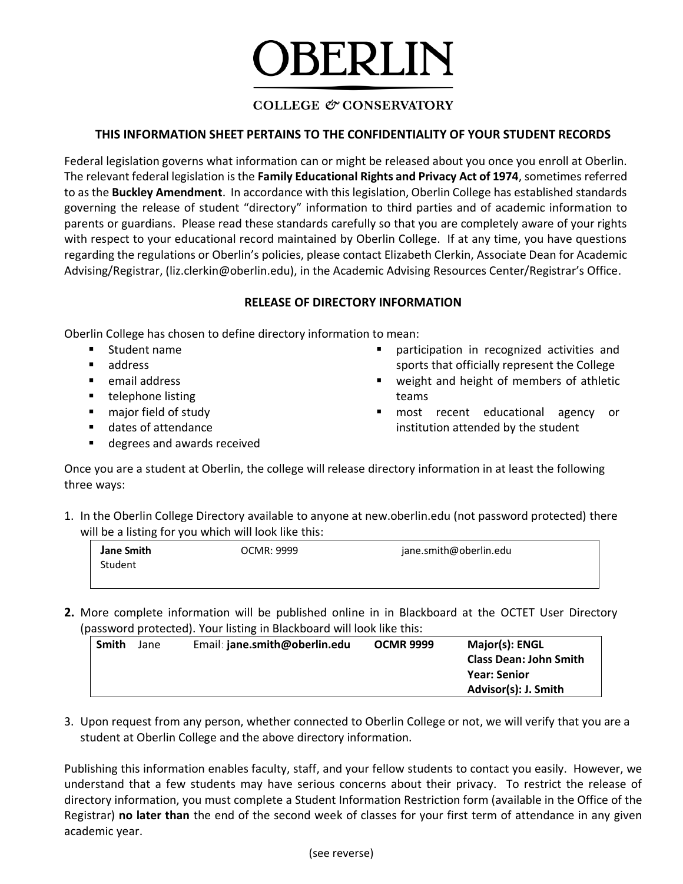# OBERLIN

# COLLEGE & CONSERVATORY

## **THIS INFORMATION SHEET PERTAINS TO THE CONFIDENTIALITY OF YOUR STUDENT RECORDS**

Federal legislation governs what information can or might be released about you once you enroll at Oberlin. The relevant federal legislation is the **Family Educational Rights and Privacy Act of 1974**, sometimes referred to as the **Buckley Amendment**. In accordance with this legislation, Oberlin College has established standards governing the release of student "directory" information to third parties and of academic information to parents or guardians. Please read these standards carefully so that you are completely aware of your rights with respect to your educational record maintained by Oberlin College. If at any time, you have questions regarding the regulations or Oberlin's policies, please contact Elizabeth Clerkin, Associate Dean for Academic Advising/Registrar, (liz.clerkin@oberlin.edu), in the Academic Advising Resources Center/Registrar's Office.

#### **RELEASE OF DIRECTORY INFORMATION**

Oberlin College has chosen to define directory information to mean:

- **Student name**
- **address**
- email address
- $\blacksquare$  telephone listing
- major field of study
- dates of attendance
- degrees and awards received
- participation in recognized activities and sports that officially represent the College
- **weight and height of members of athletic** teams
- **namost** recent educational agency or institution attended by the student

Once you are a student at Oberlin, the college will release directory information in at least the following three ways:

1. In the Oberlin College Directory available to anyone at new.oberlin.edu (not password protected) there will be a listing for you which will look like this:

| <b>Jane Smith</b> | OCMR: 9999 | jane.smith@oberlin.edu |  |
|-------------------|------------|------------------------|--|
| Student           |            |                        |  |
|                   |            |                        |  |

**2.** More complete information will be published online in in Blackboard at the OCTET User Directory (password protected). Your listing in Blackboard will look like this:

| Smith | Jane | Email: jane.smith@oberlin.edu | <b>OCMR 9999</b> | Major(s): ENGL<br><b>Class Dean: John Smith</b><br><b>Year: Senior</b><br>Advisor(s): J. Smith |
|-------|------|-------------------------------|------------------|------------------------------------------------------------------------------------------------|
|       |      |                               |                  |                                                                                                |

3. Upon request from any person, whether connected to Oberlin College or not, we will verify that you are a student at Oberlin College and the above directory information.

Publishing this information enables faculty, staff, and your fellow students to contact you easily. However, we understand that a few students may have serious concerns about their privacy. To restrict the release of directory information, you must complete a Student Information Restriction form (available in the Office of the Registrar) **no later than** the end of the second week of classes for your first term of attendance in any given academic year.